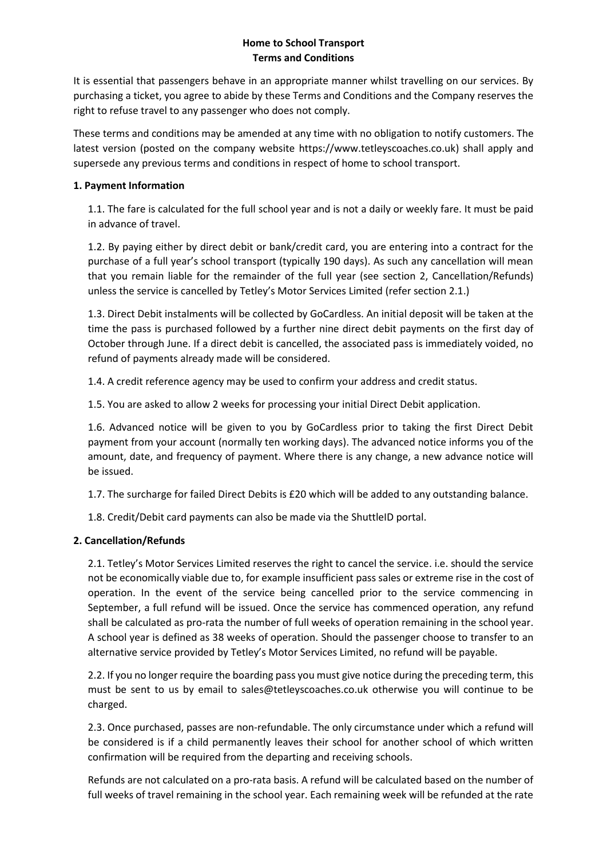# **Home to School Transport Terms and Conditions**

It is essential that passengers behave in an appropriate manner whilst travelling on our services. By purchasing a ticket, you agree to abide by these Terms and Conditions and the Company reserves the right to refuse travel to any passenger who does not comply.

These terms and conditions may be amended at any time with no obligation to notify customers. The latest version (posted on the company website https://www.tetleyscoaches.co.uk) shall apply and supersede any previous terms and conditions in respect of home to school transport.

## **1. Payment Information**

1.1. The fare is calculated for the full school year and is not a daily or weekly fare. It must be paid in advance of travel.

1.2. By paying either by direct debit or bank/credit card, you are entering into a contract for the purchase of a full year's school transport (typically 190 days). As such any cancellation will mean that you remain liable for the remainder of the full year (see section 2, Cancellation/Refunds) unless the service is cancelled by Tetley's Motor Services Limited (refer section 2.1.)

1.3. Direct Debit instalments will be collected by GoCardless. An initial deposit will be taken at the time the pass is purchased followed by a further nine direct debit payments on the first day of October through June. If a direct debit is cancelled, the associated pass is immediately voided, no refund of payments already made will be considered.

1.4. A credit reference agency may be used to confirm your address and credit status.

1.5. You are asked to allow 2 weeks for processing your initial Direct Debit application.

1.6. Advanced notice will be given to you by GoCardless prior to taking the first Direct Debit payment from your account (normally ten working days). The advanced notice informs you of the amount, date, and frequency of payment. Where there is any change, a new advance notice will be issued.

1.7. The surcharge for failed Direct Debits is £20 which will be added to any outstanding balance.

1.8. Credit/Debit card payments can also be made via the ShuttleID portal.

# **2. Cancellation/Refunds**

2.1. Tetley's Motor Services Limited reserves the right to cancel the service. i.e. should the service not be economically viable due to, for example insufficient pass sales or extreme rise in the cost of operation. In the event of the service being cancelled prior to the service commencing in September, a full refund will be issued. Once the service has commenced operation, any refund shall be calculated as pro-rata the number of full weeks of operation remaining in the school year. A school year is defined as 38 weeks of operation. Should the passenger choose to transfer to an alternative service provided by Tetley's Motor Services Limited, no refund will be payable.

2.2. If you no longer require the boarding pass you must give notice during the preceding term, this must be sent to us by email to sales@tetleyscoaches.co.uk otherwise you will continue to be charged.

2.3. Once purchased, passes are non-refundable. The only circumstance under which a refund will be considered is if a child permanently leaves their school for another school of which written confirmation will be required from the departing and receiving schools.

Refunds are not calculated on a pro-rata basis. A refund will be calculated based on the number of full weeks of travel remaining in the school year. Each remaining week will be refunded at the rate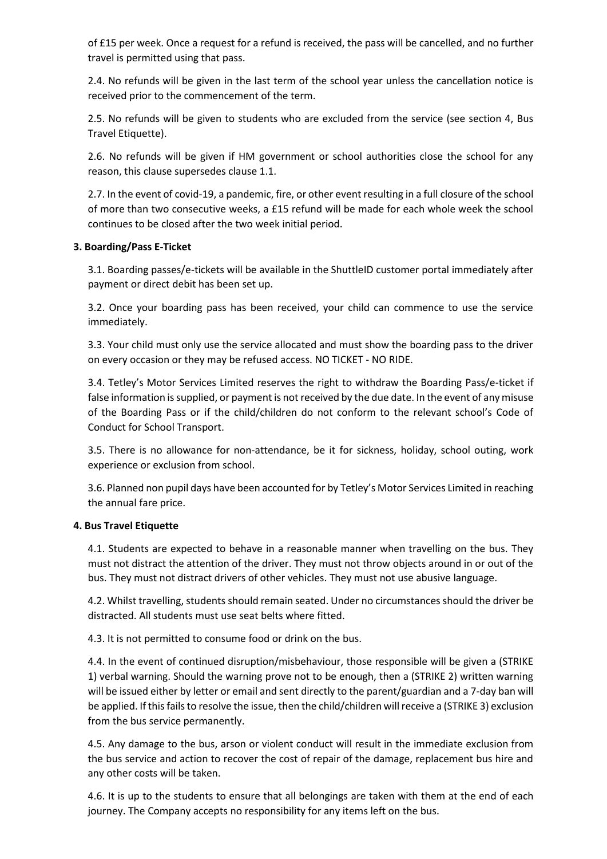of £15 per week. Once a request for a refund is received, the pass will be cancelled, and no further travel is permitted using that pass.

2.4. No refunds will be given in the last term of the school year unless the cancellation notice is received prior to the commencement of the term.

2.5. No refunds will be given to students who are excluded from the service (see section 4, Bus Travel Etiquette).

2.6. No refunds will be given if HM government or school authorities close the school for any reason, this clause supersedes clause 1.1.

2.7. In the event of covid-19, a pandemic, fire, or other event resulting in a full closure of the school of more than two consecutive weeks, a £15 refund will be made for each whole week the school continues to be closed after the two week initial period.

## **3. Boarding/Pass E-Ticket**

3.1. Boarding passes/e-tickets will be available in the ShuttleID customer portal immediately after payment or direct debit has been set up.

3.2. Once your boarding pass has been received, your child can commence to use the service immediately.

3.3. Your child must only use the service allocated and must show the boarding pass to the driver on every occasion or they may be refused access. NO TICKET - NO RIDE.

3.4. Tetley's Motor Services Limited reserves the right to withdraw the Boarding Pass/e-ticket if false information is supplied, or payment is not received by the due date. In the event of any misuse of the Boarding Pass or if the child/children do not conform to the relevant school's Code of Conduct for School Transport.

3.5. There is no allowance for non-attendance, be it for sickness, holiday, school outing, work experience or exclusion from school.

3.6. Planned non pupil days have been accounted for by Tetley's Motor Services Limited in reaching the annual fare price.

#### **4. Bus Travel Etiquette**

4.1. Students are expected to behave in a reasonable manner when travelling on the bus. They must not distract the attention of the driver. They must not throw objects around in or out of the bus. They must not distract drivers of other vehicles. They must not use abusive language.

4.2. Whilst travelling, students should remain seated. Under no circumstances should the driver be distracted. All students must use seat belts where fitted.

4.3. It is not permitted to consume food or drink on the bus.

4.4. In the event of continued disruption/misbehaviour, those responsible will be given a (STRIKE 1) verbal warning. Should the warning prove not to be enough, then a (STRIKE 2) written warning will be issued either by letter or email and sent directly to the parent/guardian and a 7-day ban will be applied. If this fails to resolve the issue, then the child/children will receive a (STRIKE 3) exclusion from the bus service permanently.

4.5. Any damage to the bus, arson or violent conduct will result in the immediate exclusion from the bus service and action to recover the cost of repair of the damage, replacement bus hire and any other costs will be taken.

4.6. It is up to the students to ensure that all belongings are taken with them at the end of each journey. The Company accepts no responsibility for any items left on the bus.